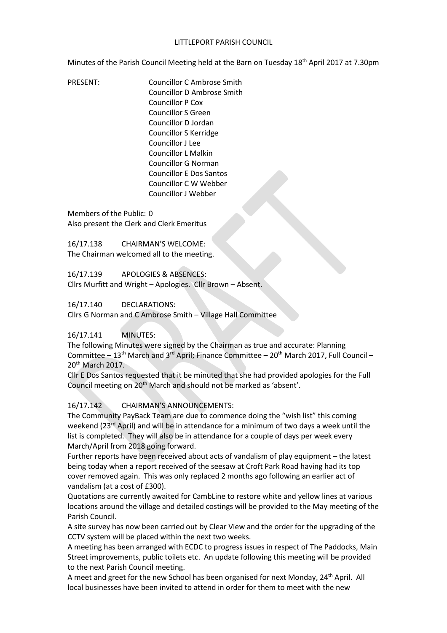Minutes of the Parish Council Meeting held at the Barn on Tuesday 18<sup>th</sup> April 2017 at 7.30pm

PRESENT: Councillor C Ambrose Smith Councillor D Ambrose Smith Councillor P Cox Councillor S Green Councillor D Jordan Councillor S Kerridge Councillor J Lee Councillor L Malkin Councillor G Norman Councillor E Dos Santos Councillor C W Webber Councillor J Webber

Members of the Public: 0 Also present the Clerk and Clerk Emeritus

16/17.138 CHAIRMAN'S WELCOME: The Chairman welcomed all to the meeting.

16/17.139 APOLOGIES & ABSENCES: Cllrs Murfitt and Wright – Apologies. Cllr Brown – Absent.

16/17.140 DECLARATIONS:

Cllrs G Norman and C Ambrose Smith – Village Hall Committee

#### 16/17.141 MINUTES:

The following Minutes were signed by the Chairman as true and accurate: Planning Committee –  $13<sup>th</sup>$  March and  $3<sup>rd</sup>$  April; Finance Committee –  $20<sup>th</sup>$  March 2017, Full Council – 20<sup>th</sup> March 2017.

Cllr E Dos Santos requested that it be minuted that she had provided apologies for the Full Council meeting on 20<sup>th</sup> March and should not be marked as 'absent'.

16/17.142 CHAIRMAN'S ANNOUNCEMENTS:

The Community PayBack Team are due to commence doing the "wish list" this coming weekend (23<sup>rd</sup> April) and will be in attendance for a minimum of two days a week until the list is completed. They will also be in attendance for a couple of days per week every March/April from 2018 going forward.

Further reports have been received about acts of vandalism of play equipment – the latest being today when a report received of the seesaw at Croft Park Road having had its top cover removed again. This was only replaced 2 months ago following an earlier act of vandalism (at a cost of £300).

Quotations are currently awaited for CambLine to restore white and yellow lines at various locations around the village and detailed costings will be provided to the May meeting of the Parish Council.

A site survey has now been carried out by Clear View and the order for the upgrading of the CCTV system will be placed within the next two weeks.

A meeting has been arranged with ECDC to progress issues in respect of The Paddocks, Main Street improvements, public toilets etc. An update following this meeting will be provided to the next Parish Council meeting.

A meet and greet for the new School has been organised for next Monday, 24<sup>th</sup> April. All local businesses have been invited to attend in order for them to meet with the new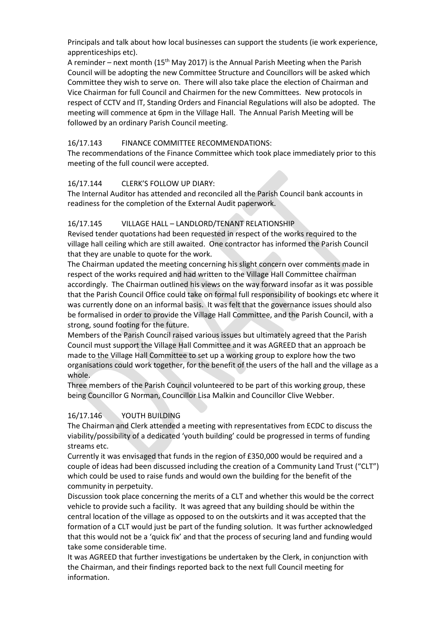Principals and talk about how local businesses can support the students (ie work experience, apprenticeships etc).

A reminder – next month  $(15<sup>th</sup>$  May 2017) is the Annual Parish Meeting when the Parish Council will be adopting the new Committee Structure and Councillors will be asked which Committee they wish to serve on. There will also take place the election of Chairman and Vice Chairman for full Council and Chairmen for the new Committees. New protocols in respect of CCTV and IT, Standing Orders and Financial Regulations will also be adopted. The meeting will commence at 6pm in the Village Hall. The Annual Parish Meeting will be followed by an ordinary Parish Council meeting.

### 16/17.143 FINANCE COMMITTEE RECOMMENDATIONS:

The recommendations of the Finance Committee which took place immediately prior to this meeting of the full council were accepted.

### 16/17.144 CLERK'S FOLLOW UP DIARY:

The Internal Auditor has attended and reconciled all the Parish Council bank accounts in readiness for the completion of the External Audit paperwork.

### 16/17.145 VILLAGE HALL – LANDLORD/TENANT RELATIONSHIP

Revised tender quotations had been requested in respect of the works required to the village hall ceiling which are still awaited. One contractor has informed the Parish Council that they are unable to quote for the work.

The Chairman updated the meeting concerning his slight concern over comments made in respect of the works required and had written to the Village Hall Committee chairman accordingly. The Chairman outlined his views on the way forward insofar as it was possible that the Parish Council Office could take on formal full responsibility of bookings etc where it was currently done on an informal basis. It was felt that the governance issues should also be formalised in order to provide the Village Hall Committee, and the Parish Council, with a strong, sound footing for the future.

Members of the Parish Council raised various issues but ultimately agreed that the Parish Council must support the Village Hall Committee and it was AGREED that an approach be made to the Village Hall Committee to set up a working group to explore how the two organisations could work together, for the benefit of the users of the hall and the village as a whole.

Three members of the Parish Council volunteered to be part of this working group, these being Councillor G Norman, Councillor Lisa Malkin and Councillor Clive Webber.

#### 16/17.146 YOUTH BUILDING

The Chairman and Clerk attended a meeting with representatives from ECDC to discuss the viability/possibility of a dedicated 'youth building' could be progressed in terms of funding streams etc.

Currently it was envisaged that funds in the region of £350,000 would be required and a couple of ideas had been discussed including the creation of a Community Land Trust ("CLT") which could be used to raise funds and would own the building for the benefit of the community in perpetuity.

Discussion took place concerning the merits of a CLT and whether this would be the correct vehicle to provide such a facility. It was agreed that any building should be within the central location of the village as opposed to on the outskirts and it was accepted that the formation of a CLT would just be part of the funding solution. It was further acknowledged that this would not be a 'quick fix' and that the process of securing land and funding would take some considerable time.

It was AGREED that further investigations be undertaken by the Clerk, in conjunction with the Chairman, and their findings reported back to the next full Council meeting for information.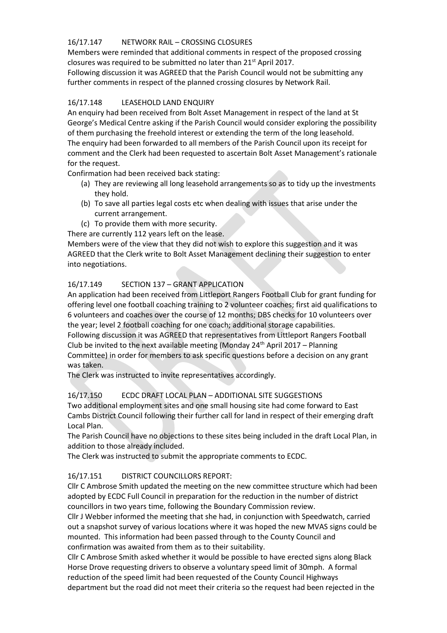#### 16/17.147 NETWORK RAIL – CROSSING CLOSURES

Members were reminded that additional comments in respect of the proposed crossing closures was required to be submitted no later than 21st April 2017.

Following discussion it was AGREED that the Parish Council would not be submitting any further comments in respect of the planned crossing closures by Network Rail.

## 16/17.148 LEASEHOLD LAND ENQUIRY

An enquiry had been received from Bolt Asset Management in respect of the land at St George's Medical Centre asking if the Parish Council would consider exploring the possibility of them purchasing the freehold interest or extending the term of the long leasehold. The enquiry had been forwarded to all members of the Parish Council upon its receipt for comment and the Clerk had been requested to ascertain Bolt Asset Management's rationale for the request.

Confirmation had been received back stating:

- (a) They are reviewing all long leasehold arrangements so as to tidy up the investments they hold.
- (b) To save all parties legal costs etc when dealing with issues that arise under the current arrangement.
- (c) To provide them with more security.

There are currently 112 years left on the lease.

Members were of the view that they did not wish to explore this suggestion and it was AGREED that the Clerk write to Bolt Asset Management declining their suggestion to enter into negotiations.

### 16/17.149 SECTION 137 – GRANT APPLICATION

An application had been received from Littleport Rangers Football Club for grant funding for offering level one football coaching training to 2 volunteer coaches; first aid qualifications to 6 volunteers and coaches over the course of 12 months; DBS checks for 10 volunteers over the year; level 2 football coaching for one coach; additional storage capabilities. Following discussion it was AGREED that representatives from Littleport Rangers Football Club be invited to the next available meeting (Monday 24<sup>th</sup> April 2017 – Planning

Committee) in order for members to ask specific questions before a decision on any grant was taken.

The Clerk was instructed to invite representatives accordingly.

# 16/17.150 ECDC DRAFT LOCAL PLAN – ADDITIONAL SITE SUGGESTIONS

Two additional employment sites and one small housing site had come forward to East Cambs District Council following their further call for land in respect of their emerging draft Local Plan.

The Parish Council have no objections to these sites being included in the draft Local Plan, in addition to those already included.

The Clerk was instructed to submit the appropriate comments to ECDC.

#### 16/17.151 DISTRICT COUNCILLORS REPORT:

Cllr C Ambrose Smith updated the meeting on the new committee structure which had been adopted by ECDC Full Council in preparation for the reduction in the number of district councillors in two years time, following the Boundary Commission review.

Cllr J Webber informed the meeting that she had, in conjunction with Speedwatch, carried out a snapshot survey of various locations where it was hoped the new MVAS signs could be mounted. This information had been passed through to the County Council and confirmation was awaited from them as to their suitability.

Cllr C Ambrose Smith asked whether it would be possible to have erected signs along Black Horse Drove requesting drivers to observe a voluntary speed limit of 30mph. A formal reduction of the speed limit had been requested of the County Council Highways department but the road did not meet their criteria so the request had been rejected in the